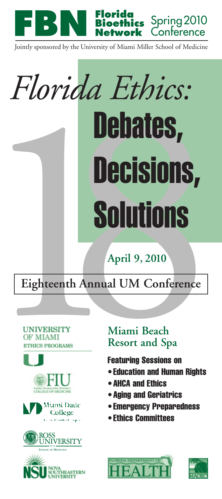

Jointly sponsored by the University of Miami Miller School of Medicine

## *Florida Ethics:*  **Debates,<br>
Solutions,<br>
Solutions**<br>
Eighteenth Annual UM Conference<br>
Eighteenth Annual UM Conference<br>
Eighteenth Annual UM Conference<br>
Eighteenth Annual UM Conference<br>
Eighteenth Annual UM Conference<br>
Eighteenth Annual UM C **Debates, Decisions, Solutions**

### **April 9, 2010**

**Eighteenth Annual UM Conference**



Miami Dade College



### **Miami Beach Resort and Spa**

### **Featuring Sessions on**

- **•Education and Human Rights**
- **•AHCA and Ethics**
- **•Aging and Geriatrics**
- **•Emergency Preparedness**
- **•Ethics Committees**



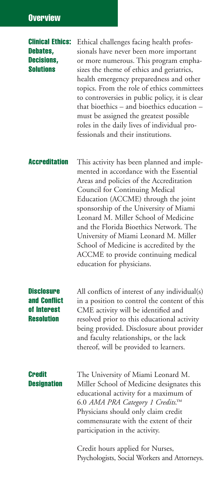### **Clinical Ethics: Debates, Decisions, Solutions**

Ethical challenges facing health professionals have never been more important or more numerous. This program emphasizes the theme of ethics and geriatrics, health emergency preparedness and other topics. From the role of ethics committees to controversies in public policy, it is clear that bioethics – and bioethics education – must be assigned the greatest possible roles in the daily lives of individual professionals and their institutions.

This activity has been planned and implemented in accordance with the Essential Areas and policies of the Accreditation Council for Continuing Medical Education (ACCME) through the joint sponsorship of the University of Miami Leonard M. Miller School of Medicine and the Florida Bioethics Network. The University of Miami Leonard M. Miller School of Medicine is accredited by the ACCME to provide continuing medical education for physicians. **Accreditation**

### All conflicts of interest of any individual(s) in a position to control the content of this CME activity will be identified and resolved prior to this educational activity being provided. Disclosure about provider and faculty relationships, or the lack thereof, will be provided to learners. **Disclosure and Conflict of Interest Resolution**

The University of Miami Leonard M. Miller School of Medicine designates this educational activity for a maximum of 6.0 *AMA PRA Category 1 Credits*. ™ Physicians should only claim credit commensurate with the extent of their participation in the activity. **Credit Designation**

> Credit hours applied for Nurses, Psychologists, Social Workers and Attorneys.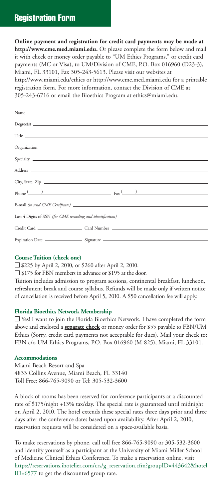### **Registration Form**

**Online payment and registration for credit card payments may be made at http://www.cme.med.miami.edu.** Or please complete the form below and mail it with check or money order payable to "UM Ethics Programs," or credit card payments (MC or Visa), to UM/Division of CME, P.O. Box 016960 (D23-3), Miami, FL 33101, Fax 305-243-5613. Please visit our websites at http://www.miami.edu/ethics or http://www.cme.med.miami.edu for a printable registration form. For more information, contact the Division of CME at 305-243-6716 or email the Bioethics Program at ethics@miami.edu.

### **Course Tuition (check one)**

□ \$225 by April 2, 2010, or \$260 after April 2, 2010.

 $\square$  \$175 for FBN members in advance or \$195 at the door.

Tuition includes admission to program sessions, continental breakfast, luncheon, refreshment break and course syllabus. Refunds will be made only if written notice of cancellation is received before April 5, 2010. A \$50 cancellation fee will apply.

### **Florida Bioethics Network Membership**

Yes! I want to join the Florida Bioethics Network. I have completed the form above and enclosed a **separate check** or money order for \$55 payable to FBN/UM Ethics (Sorry, credit card payments not acceptable for dues). Mail your check to: FBN c/o UM Ethics Programs, P.O. Box 016960 (M-825), Miami, FL 33101.

### **Accommodations**

Miami Beach Resort and Spa 4833 Collins Avenue, Miami Beach, FL 33140 Toll Free: 866-765-9090 or Tel: 305-532-3600

A block of rooms has been reserved for conference participants at a discounted rate of \$175/night +13% tax/day. The special rate is guaranteed until midnight on April 2, 2010. The hotel extends these special rates three days prior and three days after the conference dates based upon availability. After April 2, 2010, reservation requests will be considered on a space-available basis.

To make reservations by phone, call toll free 866-765-9090 or 305-532-3600 and identify yourself as a participant at the University of Miami Miller School of Medicine Clinical Ethics Conference. To make a reservation online, visit https://reservations.ihotelier.com/crs/g\_reservation.cfm?groupID=443642&hotel ID=6577 to get the discounted group rate.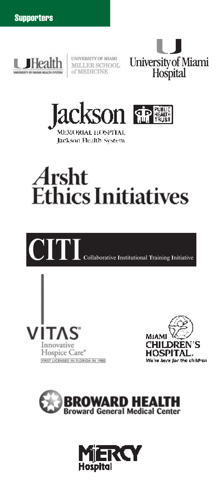

UNIVERSITY OF MIAMI<br>MILLER SCHOOL<br>of MEDICINE





### *Arsht*<br>Ethics Initiatives



Innovative Hospice Care® FIRST LICENSED IN FLORIDA IN 1980 MIAMI DRI CHIL HOSPIT/ We're here for the children



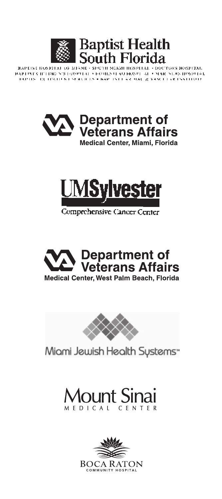

HAPTIST HOSPITATIOF MIANE - SHUTH SEAME HOSPITAL - DOCTORS HOSPITAL .<br>RAPLIST CILTIDREN'S FOSPITAL A FOMENT AU HONPLAT A NAR. NERN IDSPITAL.<br>TIDOPITS TEL IDATION EN ROCES A BAPTINT E 43 JUAÇ (6 ) ANC ET VR ENVETO E





Comprehensive Cancer Center





Miami Jewish Health Sustems"

### Mount Sinai MFDICAL CENTER

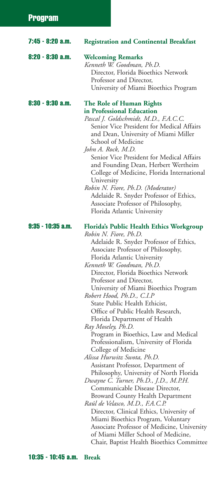| 7:45 - 8:20 a.m.    | <b>Registration and Continental Breakfast</b>                                                                                                                                                                                                                                                                                                                                                                                                                                                                                                                                                                                                                                                                                                                                                                                                                                                                                                                                                                                                                                       |
|---------------------|-------------------------------------------------------------------------------------------------------------------------------------------------------------------------------------------------------------------------------------------------------------------------------------------------------------------------------------------------------------------------------------------------------------------------------------------------------------------------------------------------------------------------------------------------------------------------------------------------------------------------------------------------------------------------------------------------------------------------------------------------------------------------------------------------------------------------------------------------------------------------------------------------------------------------------------------------------------------------------------------------------------------------------------------------------------------------------------|
| $8:20 - 8:30$ a.m.  | <b>Welcoming Remarks</b><br>Kenneth W. Goodman, Ph.D.<br>Director, Florida Bioethics Network<br>Professor and Director,<br>University of Miami Bioethics Program                                                                                                                                                                                                                                                                                                                                                                                                                                                                                                                                                                                                                                                                                                                                                                                                                                                                                                                    |
| 8:30 - 9:30 a.m.    | The Role of Human Rights<br>in Professional Education<br>Pascal J. Goldschmidt, M.D., F.A.C.C.<br>Senior Vice President for Medical Affairs<br>and Dean, University of Miami Miller<br>School of Medicine<br>John A. Rock, M.D.<br>Senior Vice President for Medical Affairs<br>and Founding Dean, Herbert Wertheim<br>College of Medicine, Florida International<br>University<br>Robin N. Fiore, Ph.D. (Moderator)<br>Adelaide R. Snyder Professor of Ethics,<br>Associate Professor of Philosophy,<br>Florida Atlantic University                                                                                                                                                                                                                                                                                                                                                                                                                                                                                                                                                |
| $9:35 - 10:35$ a.m. | Florida's Public Health Ethics Workgroup<br>Robin N. Fiore, Ph.D.<br>Adelaide R. Snyder Professor of Ethics,<br>Associate Professor of Philosophy,<br>Florida Atlantic University<br>Kenneth W. Goodman, Ph.D.<br>Director, Florida Bioethics Network<br>Professor and Director,<br>University of Miami Bioethics Program<br>Robert Hood, Ph.D., C.I.P<br>State Public Health Ethicist,<br>Office of Public Health Research,<br>Florida Department of Health<br>Ray Moseley, Ph.D.<br>Program in Bioethics, Law and Medical<br>Professionalism, University of Florida<br>College of Medicine<br>Alissa Hurwitz Swota, Ph.D.<br>Assistant Professor, Department of<br>Philosophy, University of North Florida<br>Dwayne C. Turner, Ph.D., J.D., M.P.H.<br>Communicable Disease Director,<br>Broward County Health Department<br>Raúl de Velasco, M.D., F.A.C.P.<br>Director, Clinical Ethics, University of<br>Miami Bioethics Program, Voluntary<br>Associate Professor of Medicine, University<br>of Miami Miller School of Medicine,<br>Chair, Baptist Health Bioethics Committee |

**10:35 - 10:45 a.m. Break**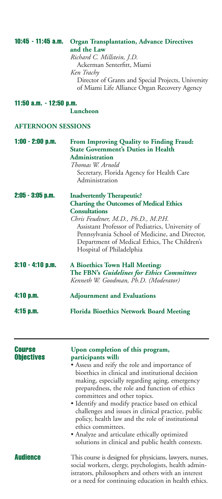| 10:45 - 11:45 a.m.                 | <b>Organ Transplantation, Advance Directives</b><br>and the Law<br>Richard C. Millstein, J.D.<br>Ackerman Senterfitt, Miami<br>Ken Trachy<br>Director of Grants and Special Projects, University<br>of Miami Life Alliance Organ Recovery Agency                                                                                                                                                                                                                                                                                                                                      |
|------------------------------------|---------------------------------------------------------------------------------------------------------------------------------------------------------------------------------------------------------------------------------------------------------------------------------------------------------------------------------------------------------------------------------------------------------------------------------------------------------------------------------------------------------------------------------------------------------------------------------------|
| 11:50 a.m. - 12:50 p.m.            | Luncheon                                                                                                                                                                                                                                                                                                                                                                                                                                                                                                                                                                              |
| <b>AFTERNOON SESSIONS</b>          |                                                                                                                                                                                                                                                                                                                                                                                                                                                                                                                                                                                       |
| $1:00 - 2:00$ p.m.                 | From Improving Quality to Finding Fraud:<br><b>State Government's Duties in Health</b><br><b>Administration</b><br>Thomas W. Arnold<br>Secretary, Florida Agency for Health Care<br>Administration                                                                                                                                                                                                                                                                                                                                                                                    |
| $2:05 - 3:05$ p.m.                 | <b>Inadvertently Therapeutic?</b><br><b>Charting the Outcomes of Medical Ethics</b><br><b>Consultations</b><br>Chris Feudtner, M.D., Ph.D., M.P.H.<br>Assistant Professor of Pediatrics, University of<br>Pennsylvania School of Medicine, and Director,<br>Department of Medical Ethics, The Children's<br>Hospital of Philadelphia                                                                                                                                                                                                                                                  |
| $3:10 - 4:10$ p.m.                 | A Bioethics Town Hall Meeting:<br>The FBN's Guidelines for Ethics Committees<br>Kenneth W. Goodman, Ph.D. (Moderator)                                                                                                                                                                                                                                                                                                                                                                                                                                                                 |
| 4:10 p.m.                          | <b>Adjournment and Evaluations</b>                                                                                                                                                                                                                                                                                                                                                                                                                                                                                                                                                    |
| $4:15$ p.m.                        | <b>Florida Bioethics Network Board Meeting</b>                                                                                                                                                                                                                                                                                                                                                                                                                                                                                                                                        |
| <b>Course</b><br><b>Objectives</b> | Upon completion of this program,<br>participants will:<br>• Assess and reify the role and importance of<br>bioethics in clinical and institutional decision<br>making, especially regarding aging, emergency<br>preparedness, the role and function of ethics<br>committees and other topics.<br>• Identify and modify practice based on ethical<br>challenges and issues in clinical practice, public<br>policy, health law and the role of institutional<br>ethics committees.<br>· Analyze and articulate ethically optimized<br>solutions in clinical and public health contexts. |
| <b>Audience</b>                    | This course is designed for physicians, lawyers, nurses,<br>social workers, clergy, psychologists, health admin-<br>istrators, philosophers and others with an interest<br>or a need for continuing education in health ethics.                                                                                                                                                                                                                                                                                                                                                       |